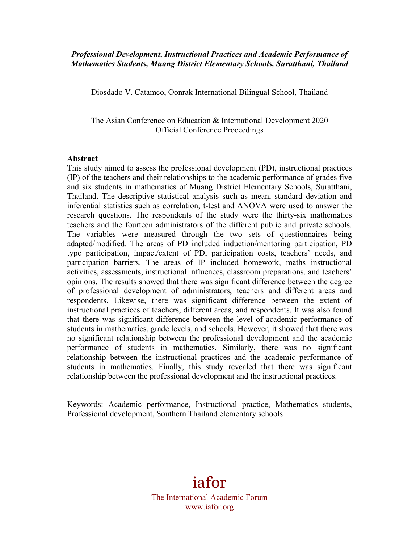#### *Professional Development, Instructional Practices and Academic Performance of Mathematics Students, Muang District Elementary Schools, Suratthani, Thailand*

Diosdado V. Catamco, Oonrak International Bilingual School, Thailand

The Asian Conference on Education & International Development 2020 Official Conference Proceedings

#### **Abstract**

This study aimed to assess the professional development (PD), instructional practices (IP) of the teachers and their relationships to the academic performance of grades five and six students in mathematics of Muang District Elementary Schools, Suratthani, Thailand. The descriptive statistical analysis such as mean, standard deviation and inferential statistics such as correlation, t-test and ANOVA were used to answer the research questions. The respondents of the study were the thirty-six mathematics teachers and the fourteen administrators of the different public and private schools. The variables were measured through the two sets of questionnaires being adapted/modified. The areas of PD included induction/mentoring participation, PD type participation, impact/extent of PD, participation costs, teachers' needs, and participation barriers. The areas of IP included homework, maths instructional activities, assessments, instructional influences, classroom preparations, and teachers' opinions. The results showed that there was significant difference between the degree of professional development of administrators, teachers and different areas and respondents. Likewise, there was significant difference between the extent of instructional practices of teachers, different areas, and respondents. It was also found that there was significant difference between the level of academic performance of students in mathematics, grade levels, and schools. However, it showed that there was no significant relationship between the professional development and the academic performance of students in mathematics. Similarly, there was no significant relationship between the instructional practices and the academic performance of students in mathematics. Finally, this study revealed that there was significant relationship between the professional development and the instructional practices.

Keywords: Academic performance, Instructional practice, Mathematics students, Professional development, Southern Thailand elementary schools

# iafor

The International Academic Forum www.iafor.org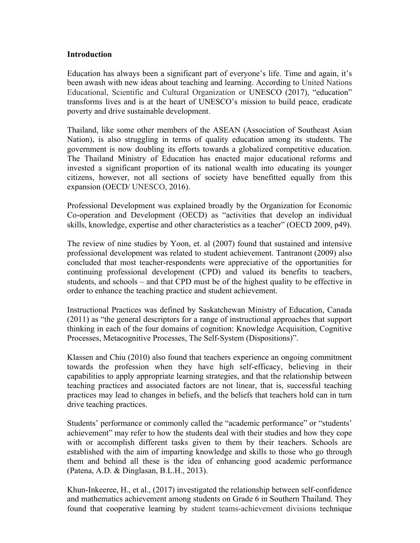#### **Introduction**

Education has always been a significant part of everyone's life. Time and again, it's been awash with new ideas about teaching and learning. According to United Nations Educational, Scientific and Cultural Organization or UNESCO (2017), "education" transforms lives and is at the heart of UNESCO's mission to build peace, eradicate poverty and drive sustainable development.

Thailand, like some other members of the ASEAN (Association of Southeast Asian Nation), is also struggling in terms of quality education among its students. The government is now doubling its efforts towards a globalized competitive education. The Thailand Ministry of Education has enacted major educational reforms and invested a significant proportion of its national wealth into educating its younger citizens, however, not all sections of society have benefitted equally from this expansion (OECD/ UNESCO, 2016).

Professional Development was explained broadly by the Organization for Economic Co-operation and Development (OECD) as "activities that develop an individual skills, knowledge, expertise and other characteristics as a teacher" (OECD 2009, p49).

The review of nine studies by Yoon, et. al (2007) found that sustained and intensive professional development was related to student achievement. Tantranont (2009) also concluded that most teacher-respondents were appreciative of the opportunities for continuing professional development (CPD) and valued its benefits to teachers, students, and schools – and that CPD must be of the highest quality to be effective in order to enhance the teaching practice and student achievement.

Instructional Practices was defined by Saskatchewan Ministry of Education, Canada (2011) as "the general descriptors for a range of instructional approaches that support thinking in each of the four domains of cognition: Knowledge Acquisition, Cognitive Processes, Metacognitive Processes, The Self-System (Dispositions)".

Klassen and Chiu (2010) also found that teachers experience an ongoing commitment towards the profession when they have high self-efficacy, believing in their capabilities to apply appropriate learning strategies, and that the relationship between teaching practices and associated factors are not linear, that is, successful teaching practices may lead to changes in beliefs, and the beliefs that teachers hold can in turn drive teaching practices.

Students' performance or commonly called the "academic performance" or "students' achievement" may refer to how the students deal with their studies and how they cope with or accomplish different tasks given to them by their teachers. Schools are established with the aim of imparting knowledge and skills to those who go through them and behind all these is the idea of enhancing good academic performance (Patena, A.D. & Dinglasan, B.L.H., 2013).

Khun-Inkeeree, H., et al., (2017) investigated the relationship between self-confidence and mathematics achievement among students on Grade 6 in Southern Thailand. They found that cooperative learning by student teams-achievement divisions technique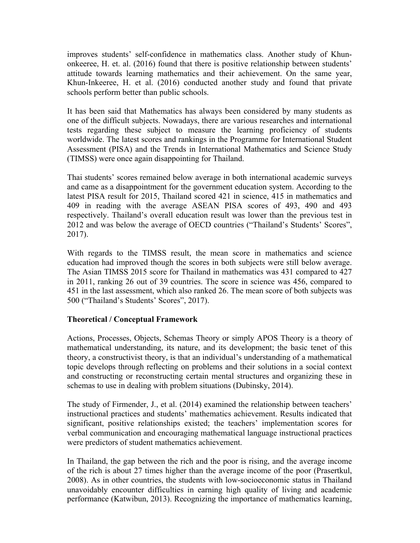improves students' self-confidence in mathematics class. Another study of Khunonkeeree, H. et. al. (2016) found that there is positive relationship between students' attitude towards learning mathematics and their achievement. On the same year, Khun-Inkeeree, H. et al. (2016) conducted another study and found that private schools perform better than public schools.

It has been said that Mathematics has always been considered by many students as one of the difficult subjects. Nowadays, there are various researches and international tests regarding these subject to measure the learning proficiency of students worldwide. The latest scores and rankings in the Programme for International Student Assessment (PISA) and the Trends in International Mathematics and Science Study (TIMSS) were once again disappointing for Thailand.

Thai students' scores remained below average in both international academic surveys and came as a disappointment for the government education system. According to the latest PISA result for 2015, Thailand scored 421 in science, 415 in mathematics and 409 in reading with the average ASEAN PISA scores of 493, 490 and 493 respectively. Thailand's overall education result was lower than the previous test in 2012 and was below the average of OECD countries ("Thailand's Students' Scores", 2017).

With regards to the TIMSS result, the mean score in mathematics and science education had improved though the scores in both subjects were still below average. The Asian TIMSS 2015 score for Thailand in mathematics was 431 compared to 427 in 2011, ranking 26 out of 39 countries. The score in science was 456, compared to 451 in the last assessment, which also ranked 26. The mean score of both subjects was 500 ("Thailand's Students' Scores", 2017).

# **Theoretical / Conceptual Framework**

Actions, Processes, Objects, Schemas Theory or simply APOS Theory is a theory of mathematical understanding, its nature, and its development; the basic tenet of this theory, a constructivist theory, is that an individual's understanding of a mathematical topic develops through reflecting on problems and their solutions in a social context and constructing or reconstructing certain mental structures and organizing these in schemas to use in dealing with problem situations (Dubinsky, 2014).

The study of Firmender, J., et al. (2014) examined the relationship between teachers' instructional practices and students' mathematics achievement. Results indicated that significant, positive relationships existed; the teachers' implementation scores for verbal communication and encouraging mathematical language instructional practices were predictors of student mathematics achievement.

In Thailand, the gap between the rich and the poor is rising, and the average income of the rich is about 27 times higher than the average income of the poor (Prasertkul, 2008). As in other countries, the students with low-socioeconomic status in Thailand unavoidably encounter difficulties in earning high quality of living and academic performance (Katwibun, 2013). Recognizing the importance of mathematics learning,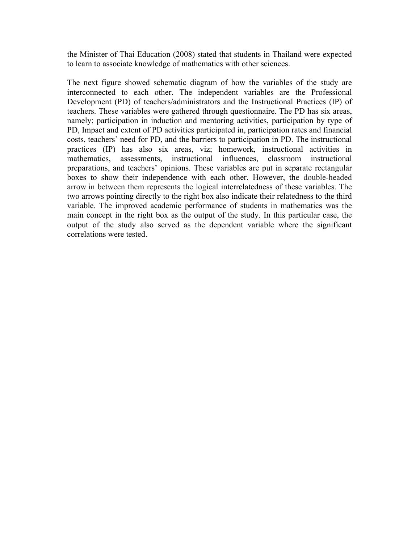the Minister of Thai Education (2008) stated that students in Thailand were expected to learn to associate knowledge of mathematics with other sciences.

The next figure showed schematic diagram of how the variables of the study are interconnected to each other. The independent variables are the Professional Development (PD) of teachers/administrators and the Instructional Practices (IP) of teachers. These variables were gathered through questionnaire. The PD has six areas, namely; participation in induction and mentoring activities, participation by type of PD, Impact and extent of PD activities participated in, participation rates and financial costs, teachers' need for PD, and the barriers to participation in PD. The instructional practices (IP) has also six areas, viz; homework, instructional activities in mathematics, assessments, instructional influences, classroom instructional preparations, and teachers' opinions. These variables are put in separate rectangular boxes to show their independence with each other. However, the double-headed arrow in between them represents the logical interrelatedness of these variables. The two arrows pointing directly to the right box also indicate their relatedness to the third variable. The improved academic performance of students in mathematics was the main concept in the right box as the output of the study. In this particular case, the output of the study also served as the dependent variable where the significant correlations were tested.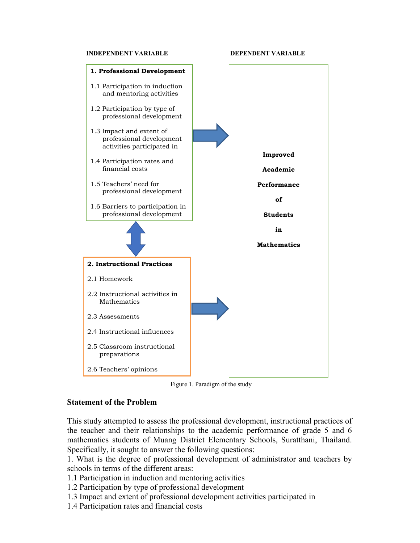#### **INDEPENDENT VARIABLE DEPENDENT VARIABLE**



Figure 1. Paradigm of the study

#### **Statement of the Problem**

This study attempted to assess the professional development, instructional practices of the teacher and their relationships to the academic performance of grade 5 and 6 mathematics students of Muang District Elementary Schools, Suratthani, Thailand. Specifically, it sought to answer the following questions:

1. What is the degree of professional development of administrator and teachers by schools in terms of the different areas:

1.1 Participation in induction and mentoring activities

1.2 Participation by type of professional development

- 1.3 Impact and extent of professional development activities participated in
- 1.4 Participation rates and financial costs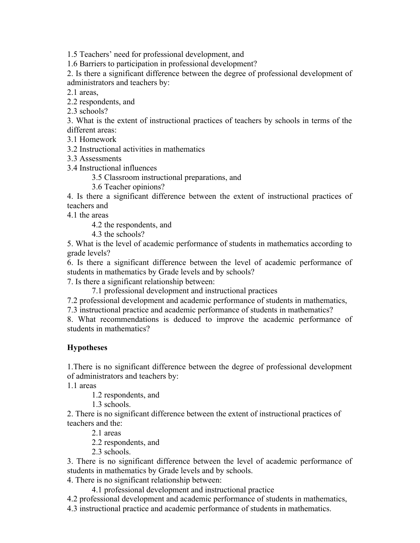1.5 Teachers' need for professional development, and

1.6 Barriers to participation in professional development?

2. Is there a significant difference between the degree of professional development of administrators and teachers by:

2.1 areas,

2.2 respondents, and

2.3 schools?

3. What is the extent of instructional practices of teachers by schools in terms of the different areas:

3.1 Homework

3.2 Instructional activities in mathematics

3.3 Assessments

3.4 Instructional influences

3.5 Classroom instructional preparations, and

3.6 Teacher opinions?

4. Is there a significant difference between the extent of instructional practices of teachers and

4.1 the areas

4.2 the respondents, and

4.3 the schools?

5. What is the level of academic performance of students in mathematics according to grade levels?

6. Is there a significant difference between the level of academic performance of students in mathematics by Grade levels and by schools?

7. Is there a significant relationship between:

7.1 professional development and instructional practices

7.2 professional development and academic performance of students in mathematics,

7.3 instructional practice and academic performance of students in mathematics?

8. What recommendations is deduced to improve the academic performance of students in mathematics?

# **Hypotheses**

1.There is no significant difference between the degree of professional development of administrators and teachers by:

1.1 areas

1.2 respondents, and

1.3 schools.

2. There is no significant difference between the extent of instructional practices of teachers and the:

2.1 areas

2.2 respondents, and

2.3 schools.

3. There is no significant difference between the level of academic performance of students in mathematics by Grade levels and by schools.

4. There is no significant relationship between:

4.1 professional development and instructional practice

4.2 professional development and academic performance of students in mathematics,

4.3 instructional practice and academic performance of students in mathematics.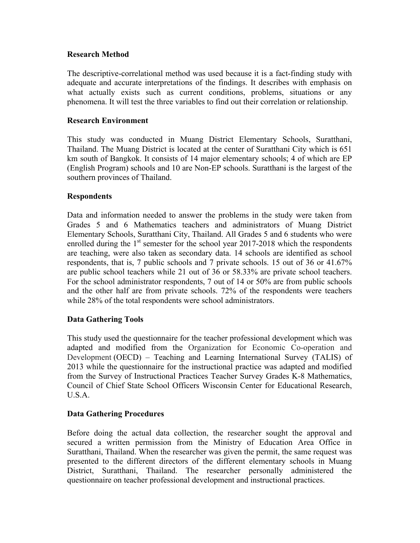#### **Research Method**

The descriptive-correlational method was used because it is a fact-finding study with adequate and accurate interpretations of the findings. It describes with emphasis on what actually exists such as current conditions, problems, situations or any phenomena. It will test the three variables to find out their correlation or relationship.

#### **Research Environment**

This study was conducted in Muang District Elementary Schools, Suratthani, Thailand. The Muang District is located at the center of Suratthani City which is 651 km south of Bangkok. It consists of 14 major elementary schools; 4 of which are EP (English Program) schools and 10 are Non-EP schools. Suratthani is the largest of the southern provinces of Thailand.

#### **Respondents**

Data and information needed to answer the problems in the study were taken from Grades 5 and 6 Mathematics teachers and administrators of Muang District Elementary Schools, Suratthani City, Thailand. All Grades 5 and 6 students who were enrolled during the  $1<sup>st</sup>$  semester for the school year 2017-2018 which the respondents are teaching, were also taken as secondary data. 14 schools are identified as school respondents, that is, 7 public schools and 7 private schools. 15 out of 36 or 41.67% are public school teachers while 21 out of 36 or 58.33% are private school teachers. For the school administrator respondents, 7 out of 14 or 50% are from public schools and the other half are from private schools. 72% of the respondents were teachers while 28% of the total respondents were school administrators.

# **Data Gathering Tools**

This study used the questionnaire for the teacher professional development which was adapted and modified from the Organization for Economic Co-operation and Development (OECD) – Teaching and Learning International Survey (TALIS) of 2013 while the questionnaire for the instructional practice was adapted and modified from the Survey of Instructional Practices Teacher Survey Grades K-8 Mathematics, Council of Chief State School Officers Wisconsin Center for Educational Research,  $U.S.A$ 

# **Data Gathering Procedures**

Before doing the actual data collection, the researcher sought the approval and secured a written permission from the Ministry of Education Area Office in Suratthani, Thailand. When the researcher was given the permit, the same request was presented to the different directors of the different elementary schools in Muang District, Suratthani, Thailand. The researcher personally administered the questionnaire on teacher professional development and instructional practices.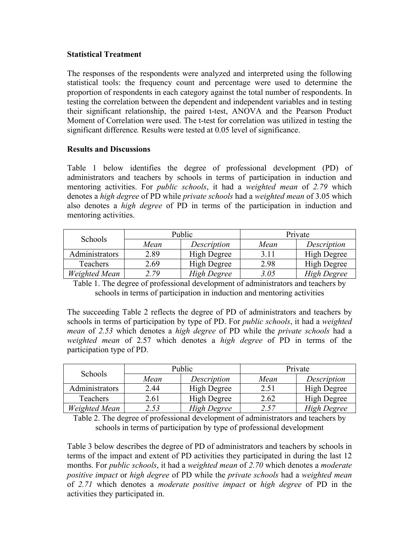#### **Statistical Treatment**

The responses of the respondents were analyzed and interpreted using the following statistical tools: the frequency count and percentage were used to determine the proportion of respondents in each category against the total number of respondents. In testing the correlation between the dependent and independent variables and in testing their significant relationship, the paired t-test, ANOVA and the Pearson Product Moment of Correlation were used. The t-test for correlation was utilized in testing the significant difference*.* Results were tested at 0.05 level of significance.

# **Results and Discussions**

Table 1 below identifies the degree of professional development (PD) of administrators and teachers by schools in terms of participation in induction and mentoring activities. For *public schools*, it had a *weighted mean* of *2.79* which denotes a *high degree* of PD while *private schools* had a *weighted mean* of 3.05 which also denotes a *high degree* of PD in terms of the participation in induction and mentoring activities.

| Schools        |      | Public<br>Private |      |                    |
|----------------|------|-------------------|------|--------------------|
|                | Mean | Description       | Mean | Description        |
| Administrators | 2.89 | High Degree       | 3.11 | High Degree        |
| Teachers       | 2.69 | High Degree       | 2.98 | <b>High Degree</b> |
| Weighted Mean  | 279  | High Degree       | 3.05 | High Degree        |

Table 1. The degree of professional development of administrators and teachers by schools in terms of participation in induction and mentoring activities

The succeeding Table 2 reflects the degree of PD of administrators and teachers by schools in terms of participation by type of PD. For *public schools*, it had a *weighted mean* of *2.53* which denotes a *high degree* of PD while the *private schools* had a *weighted mean* of 2.57 which denotes a *high degree* of PD in terms of the participation type of PD.

|                | Public |             | Private |                    |
|----------------|--------|-------------|---------|--------------------|
| Schools        | Mean   | Description | Mean    | Description        |
| Administrators | 2.44   | High Degree | 2.51    | High Degree        |
| Teachers       | 2.61   | High Degree | 2.62    | <b>High Degree</b> |
| Weighted Mean  | 2.53   | High Degree | 2.57    | <b>High Degree</b> |

Table 2. The degree of professional development of administrators and teachers by schools in terms of participation by type of professional development

Table 3 below describes the degree of PD of administrators and teachers by schools in terms of the impact and extent of PD activities they participated in during the last 12 months. For *public schools*, it had a *weighted mean* of *2.70* which denotes a *moderate positive impact* or *high degree* of PD while the *private schools* had a *weighted mean* of *2.71* which denotes a *moderate positive impact* or *high degree* of PD in the activities they participated in.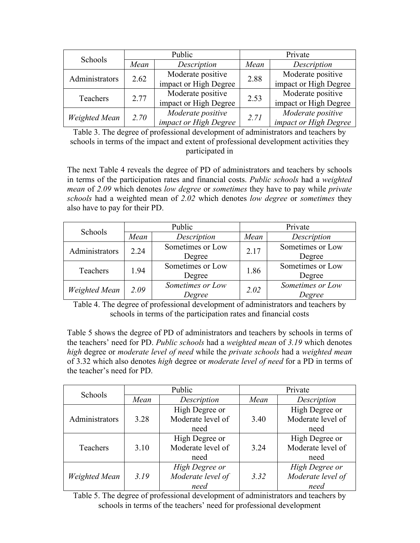| Schools        |      | Public                | Private |                       |
|----------------|------|-----------------------|---------|-----------------------|
|                | Mean | Description           | Mean    | Description           |
| Administrators | 2.62 | Moderate positive     | 2.88    | Moderate positive     |
|                |      | impact or High Degree |         | impact or High Degree |
| Teachers       | 2.77 | Moderate positive     | 2.53    | Moderate positive     |
|                |      | impact or High Degree |         | impact or High Degree |
|                | 2.70 | Moderate positive     | 2.71    | Moderate positive     |
| Weighted Mean  |      | impact or High Degree |         | impact or High Degree |

Table 3. The degree of professional development of administrators and teachers by schools in terms of the impact and extent of professional development activities they participated in

The next Table 4 reveals the degree of PD of administrators and teachers by schools in terms of the participation rates and financial costs. *Public schools* had a *weighted mean* of *2.09* which denotes *low degree* or *sometimes* they have to pay while *private schools* had a weighted mean of *2.02* which denotes *low degree* or *sometimes* they also have to pay for their PD.

| Schools              | Public |                  | Private |                  |
|----------------------|--------|------------------|---------|------------------|
|                      | Mean   | Description      | Mean    | Description      |
| Administrators       | 2.24   | Sometimes or Low | 2.17    | Sometimes or Low |
|                      |        | Degree           |         | Degree           |
| Teachers             | 1.94   | Sometimes or Low | 1.86    | Sometimes or Low |
|                      |        | Degree           |         | Degree           |
| <b>Weighted Mean</b> | 2.09   | Sometimes or Low | 2.02    | Sometimes or Low |
|                      |        | Degree           |         | Degree           |

Table 4. The degree of professional development of administrators and teachers by schools in terms of the participation rates and financial costs

Table 5 shows the degree of PD of administrators and teachers by schools in terms of the teachers' need for PD. *Public schools* had a *weighted mean* of *3.19* which denotes *high* degree or *moderate level of need* while the *private schools* had a *weighted mean* of 3.32 which also denotes *high* degree or *moderate level of need* for a PD in terms of the teacher's need for PD.

| Schools        | Public |                   | Private |                           |
|----------------|--------|-------------------|---------|---------------------------|
|                | Mean   | Description       | Mean    | Description               |
|                |        | High Degree or    |         | High Degree or            |
| Administrators | 3.28   | Moderate level of | 3.40    | Moderate level of         |
|                |        | need              |         | need                      |
|                |        | High Degree or    |         | High Degree or            |
| Teachers       | 3.10   | Moderate level of | 3.24    | Moderate level of         |
|                |        | need              |         | need                      |
|                |        | High Degree or    |         | High Degree or            |
| Weighted Mean  | 3.19   | Moderate level of | 3.32    | Moderate level of<br>need |
|                |        | need              |         |                           |

Table 5. The degree of professional development of administrators and teachers by schools in terms of the teachers' need for professional development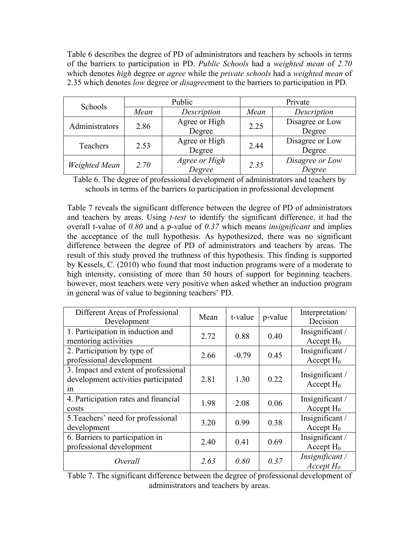Table 6 describes the degree of PD of administrators and teachers by schools in terms of the barriers to participation in PD. *Public Schools* had a *weighted mean* of *2.70*  which denotes *high* degree or *agree* while the *private schools* had a *weighted mean* of 2.35 which denotes *low* degree or *disagree*ment to the barriers to participation in PD.

| Schools              | Public |                         | Private |                           |
|----------------------|--------|-------------------------|---------|---------------------------|
|                      | Mean   | Description             | Mean    | Description               |
| Administrators       | 2.86   | Agree or High<br>Degree | 2.25    | Disagree or Low<br>Degree |
| Teachers             | 2.53   | Agree or High<br>Degree | 2.44    | Disagree or Low<br>Degree |
| <b>Weighted Mean</b> | 2.70   | Agree or High<br>Degree | 2.35    | Disagree or Low<br>Degree |

Table 6. The degree of professional development of administrators and teachers by schools in terms of the barriers to participation in professional development

Table 7 reveals the significant difference between the degree of PD of administrators and teachers by areas. Using *t-test* to identify the significant difference, it had the overall t-value of *0.80* and a p-value of *0.37* which means *insignificant* and implies the acceptance of the null hypothesis. As hypothesized, there was no significant difference between the degree of PD of administrators and teachers by areas. The result of this study proved the truthness of this hypothesis. This finding is supported by Kessels, C. (2010) who found that most induction programs were of a moderate to high intensity, consisting of more than 50 hours of support for beginning teachers. however, most teachers were very positive when asked whether an induction program in general was of value to beginning teachers' PD.

| Different Areas of Professional<br>Development                                    | Mean | t-value | p-value | Interpretation/<br>Decision     |
|-----------------------------------------------------------------------------------|------|---------|---------|---------------------------------|
| 1. Participation in induction and<br>mentoring activities                         | 2.72 | 0.88    | 0.40    | Insignificant/<br>Accept $H_0$  |
| 2. Participation by type of<br>professional development                           | 2.66 | $-0.79$ | 0.45    | Insignificant/<br>Accept $H_0$  |
| 3. Impact and extent of professional<br>development activities participated<br>1n | 2.81 | 1.30    | 0.22    | Insignificant/<br>Accept $H_0$  |
| 4. Participation rates and financial<br>costs                                     | 1.98 | 2.08    | 0.06    | Insignificant/<br>Accept $H_0$  |
| 5. Teachers' need for professional<br>development                                 | 3.20 | 0.99    | 0.38    | Insignificant/<br>Accept $H_0$  |
| 6. Barriers to participation in<br>professional development                       | 2.40 | 0.41    | 0.69    | Insignificant/<br>Accept $H_0$  |
| Overall                                                                           | 2.63 | 0.80    | 0.37    | Insignificant /<br>$Accept H_0$ |

Table 7. The significant difference between the degree of professional development of administrators and teachers by areas.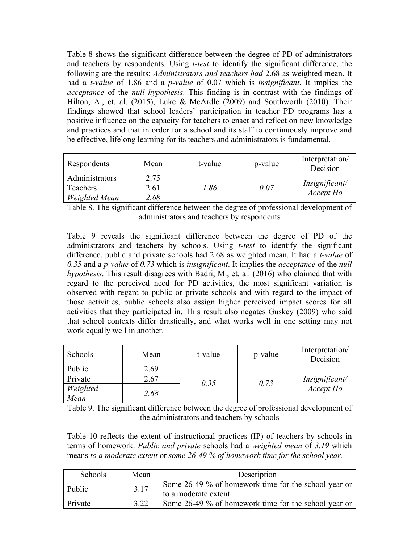Table 8 shows the significant difference between the degree of PD of administrators and teachers by respondents. Using *t-test* to identify the significant difference, the following are the results: *Administrators and teachers had* 2.68 as weighted mean. It had a *t-value* of 1.86 and a *p-value* of 0.07 which is *insignificant*. It implies the *acceptance* of the *null hypothesis*. This finding is in contrast with the findings of Hilton, A., et. al. (2015), Luke & McArdle (2009) and Southworth (2010). Their findings showed that school leaders' participation in teacher PD programs has a positive influence on the capacity for teachers to enact and reflect on new knowledge and practices and that in order for a school and its staff to continuously improve and be effective, lifelong learning for its teachers and administrators is fundamental.

| Respondents    | Mean | t-value | p-value | Interpretation/<br>Decision |
|----------------|------|---------|---------|-----------------------------|
| Administrators | 2.75 |         |         |                             |
| Teachers       | 2.61 | 0.86    | 0.07    | Insignificant/<br>Accept Ho |
| Weighted Mean  | 2.68 |         |         |                             |

Table 8. The significant difference between the degree of professional development of administrators and teachers by respondents

Table 9 reveals the significant difference between the degree of PD of the administrators and teachers by schools. Using *t-test* to identify the significant difference, public and private schools had 2.68 as weighted mean. It had a *t-value* of *0.35* and a *p-value* of *0.73* which is *insignificant*. It implies the *acceptance* of the *null hypothesis*. This result disagrees with Badri, M., et. al. (2016) who claimed that with regard to the perceived need for PD activities, the most significant variation is observed with regard to public or private schools and with regard to the impact of those activities, public schools also assign higher perceived impact scores for all activities that they participated in. This result also negates Guskey (2009) who said that school contexts differ drastically, and what works well in one setting may not work equally well in another.

| Schools  | Mean | t-value | p-value | Interpretation/<br>Decision |
|----------|------|---------|---------|-----------------------------|
| Public   | 2.69 |         |         |                             |
| Private  | 2.67 | 0.35    | 0.73    | Insignificant/              |
| Weighted | 2.68 |         |         | Accept Ho                   |
| Mean     |      |         |         |                             |

Table 9. The significant difference between the degree of professional development of the administrators and teachers by schools

Table 10 reflects the extent of instructional practices (IP) of teachers by schools in terms of homework. *Public and private* schools had a *weighted mean* of *3.19* which means *to a moderate extent* or *some 26-49 % of homework time for the school year.*

| Schools | Mean | Description                                                                  |
|---------|------|------------------------------------------------------------------------------|
| Public  | 3.17 | Some 26-49 % of homework time for the school year or<br>to a moderate extent |
| Private | 3.22 | Some 26-49 % of homework time for the school year or                         |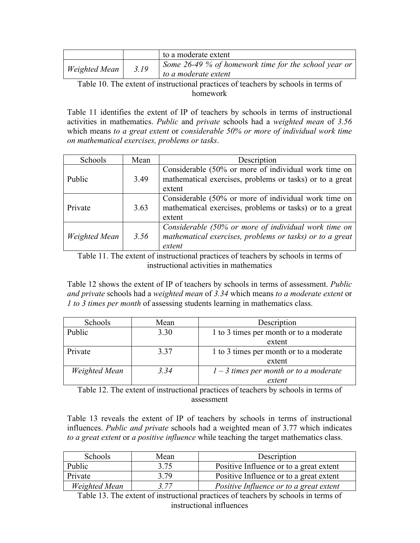|                      |      | to a moderate extent                                                         |
|----------------------|------|------------------------------------------------------------------------------|
| <b>Weighted Mean</b> | 3.19 | Some 26-49 % of homework time for the school year or<br>to a moderate extent |
| $T = 11.10T$         |      | $\cdots$ $\cdots$ $\cdots$                                                   |

Table 10. The extent of instructional practices of teachers by schools in terms of homework

Table 11 identifies the extent of IP of teachers by schools in terms of instructional activities in mathematics. *Public* and *private* schools had a *weighted mean* of *3.56* which means *to a great extent* or *considerable 50% or more of individual work time on mathematical exercises, problems or tasks*.

| Schools              | Mean | Description                                                                                                                |
|----------------------|------|----------------------------------------------------------------------------------------------------------------------------|
| Public               | 3.49 | Considerable (50% or more of individual work time on<br>mathematical exercises, problems or tasks) or to a great<br>extent |
| Private              | 3.63 | Considerable (50% or more of individual work time on<br>mathematical exercises, problems or tasks) or to a great<br>extent |
| <b>Weighted Mean</b> | 3.56 | Considerable (50% or more of individual work time on<br>mathematical exercises, problems or tasks) or to a great<br>extent |

Table 11. The extent of instructional practices of teachers by schools in terms of instructional activities in mathematics

Table 12 shows the extent of IP of teachers by schools in terms of assessment. *Public and private* schools had a *weighted mean* of *3.34* which means *to a moderate extent* or *1 to 3 times per month* of assessing students learning in mathematics class.

| Schools       | Mean | Description                              |  |  |
|---------------|------|------------------------------------------|--|--|
| Public        | 3.30 | 1 to 3 times per month or to a moderate  |  |  |
|               |      | extent                                   |  |  |
| Private       | 3.37 | 1 to 3 times per month or to a moderate  |  |  |
|               |      | extent                                   |  |  |
| Weighted Mean | 3.34 | $1 - 3$ times per month or to a moderate |  |  |
|               |      | extent                                   |  |  |

Table 12. The extent of instructional practices of teachers by schools in terms of assessment

Table 13 reveals the extent of IP of teachers by schools in terms of instructional influences. *Public and private* schools had a weighted mean of 3.77 which indicates *to a great extent* or *a positive influence* while teaching the target mathematics class.

| Schools              | Mean | Description                             |  |  |
|----------------------|------|-----------------------------------------|--|--|
| Public               | 3.75 | Positive Influence or to a great extent |  |  |
| Private              | 3.79 | Positive Influence or to a great extent |  |  |
| <b>Weighted Mean</b> | 3.77 | Positive Influence or to a great extent |  |  |

Table 13. The extent of instructional practices of teachers by schools in terms of instructional influences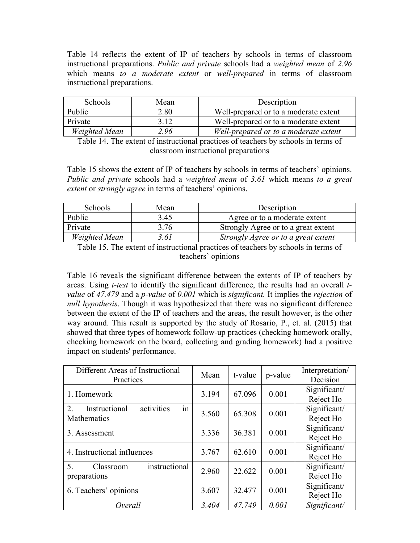Table 14 reflects the extent of IP of teachers by schools in terms of classroom instructional preparations. *Public and private* schools had a *weighted mean* of *2.96* which means *to a moderate extent* or *well-prepared* in terms of classroom instructional preparations.

| Schools       | Mean | Description                           |  |
|---------------|------|---------------------------------------|--|
| Public        | 2.80 | Well-prepared or to a moderate extent |  |
| Private       | 3 12 | Well-prepared or to a moderate extent |  |
| Weighted Mean | 2.96 | Well-prepared or to a moderate extent |  |

Table 14. The extent of instructional practices of teachers by schools in terms of classroom instructional preparations

Table 15 shows the extent of IP of teachers by schools in terms of teachers' opinions. *Public and private* schools had a *weighted mean* of *3.61* which means *to a great extent* or *strongly agree* in terms of teachers' opinions.

| Schools       | Mean | Description                         |
|---------------|------|-------------------------------------|
| Public        | 3.45 | Agree or to a moderate extent       |
| Private       | 3.76 | Strongly Agree or to a great extent |
| Weighted Mean | 3.61 | Strongly Agree or to a great extent |

Table 15. The extent of instructional practices of teachers by schools in terms of teachers' opinions

Table 16 reveals the significant difference between the extents of IP of teachers by areas. Using *t-test* to identify the significant difference, the results had an overall *tvalue* of *47.479* and a *p-value* of *0.001* which is *significant.* It implies the *rejection* of *null hypothesis*. Though it was hypothesized that there was no significant difference between the extent of the IP of teachers and the areas, the result however, is the other way around. This result is supported by the study of Rosario, P., et. al. (2015) that showed that three types of homework follow-up practices (checking homework orally, checking homework on the board, collecting and grading homework) had a positive impact on students' performance.

| Different Areas of Instructional<br>Practices          | Mean  | t-value | p-value | Interpretation/<br>Decision |
|--------------------------------------------------------|-------|---------|---------|-----------------------------|
| 1. Homework                                            | 3.194 | 67.096  | 0.001   | Significant/<br>Reject Ho   |
| activities<br>Instructional<br>2.<br>1n<br>Mathematics | 3.560 | 65.308  | 0.001   | Significant/<br>Reject Ho   |
| 3. Assessment                                          | 3.336 | 36.381  | 0.001   | Significant/<br>Reject Ho   |
| 4. Instructional influences                            | 3.767 | 62.610  | 0.001   | Significant/<br>Reject Ho   |
| instructional<br>5.<br>Classroom<br>preparations       | 2.960 | 22.622  | 0.001   | Significant/<br>Reject Ho   |
| 6. Teachers' opinions                                  | 3.607 | 32.477  | 0.001   | Significant/<br>Reject Ho   |
| Overall                                                | 3.404 | 47.749  | 0.001   | Significant/                |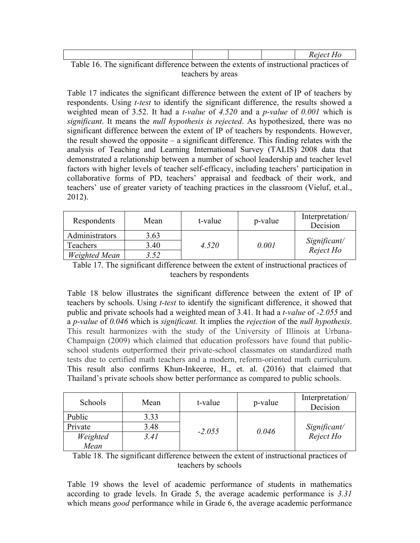|                                                                                        |  | Reject Ho |
|----------------------------------------------------------------------------------------|--|-----------|
| Table 16. The significant difference between the extents of instructional practices of |  |           |

teachers by areas

Table 17 indicates the significant difference between the extent of IP of teachers by respondents. Using *t-test* to identify the significant difference, the results showed a weighted mean of 3.52. It had a *t-value* of *4.520* and a *p-value* of *0.001* which is *significant*. It means the *null hypothesis is rejected*. As hypothesized, there was no significant difference between the extent of IP of teachers by respondents. However, the result showed the opposite – a significant difference. This finding relates with the analysis of Teaching and Learning International Survey (TALIS) 2008 data that demonstrated a relationship between a number of school leadership and teacher level factors with higher levels of teacher self-efficacy, including teachers' participation in collaborative forms of PD, teachers' appraisal and feedback of their work, and teachers' use of greater variety of teaching practices in the classroom (Vieluf, et.al., 2012).

| Respondents    | Mean | t-value | p-value | Interpretation/<br>Decision |
|----------------|------|---------|---------|-----------------------------|
| Administrators | 3.63 |         |         |                             |
| Teachers       | 3.40 | 4.520   | 0.001   | Significant/<br>Reject Ho   |
| Weighted Mean  | 3.52 |         |         |                             |

Table 17. The significant difference between the extent of instructional practices of teachers by respondents

Table 18 below illustrates the significant difference between the extent of IP of teachers by schools. Using *t-test* to identify the significant difference, it showed that public and private schools had a weighted mean of 3.41. It had a *t-value* of *-2.055* and a *p-value* of *0.046* which is *significant.* It implies the *rejection* of the *null hypothesis*. This result harmonizes with the study of the University of Illinois at Urbana-Champaign (2009) which claimed that education professors have found that publicschool students outperformed their private-school classmates on standardized math tests due to certified math teachers and a modern, reform-oriented math curriculum. This result also confirms Khun-Inkeeree, H., et. al. (2016) that claimed that Thailand's private schools show better performance as compared to public schools.

| Schools  | Mean | t-value  | p-value | Interpretation/<br>Decision |
|----------|------|----------|---------|-----------------------------|
| Public   | 3.33 |          |         |                             |
| Private  | 3.48 | $-2.055$ | 0.046   | Significant/                |
| Weighted | 3.41 |          |         | Reject Ho                   |
| Mean     |      |          |         |                             |

Table 18. The significant difference between the extent of instructional practices of teachers by schools

Table 19 shows the level of academic performance of students in mathematics according to grade levels. In Grade 5, the average academic performance is *3.31* which means *good* performance while in Grade 6, the average academic performance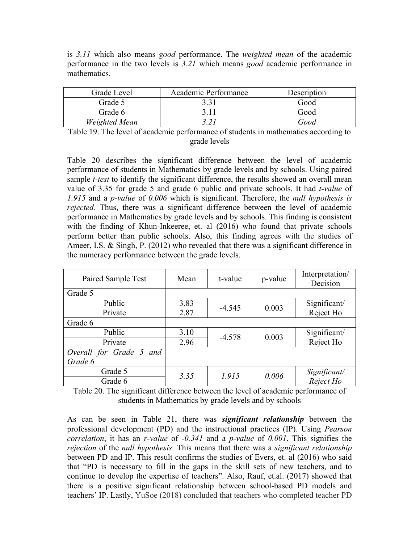is *3.11* which also means *good* performance. The *weighted mean* of the academic performance in the two levels is *3.21* which means *good* academic performance in mathematics.

| Grade Level   | Academic Performance | Description |
|---------------|----------------------|-------------|
| Grade 5       | 331                  | Good        |
| Grade 6       | 3 1 1                | Good        |
| Weighted Mean |                      | Good        |

Table 19. The level of academic performance of students in mathematics according to grade levels

Table 20 describes the significant difference between the level of academic performance of students in Mathematics by grade levels and by schools. Using paired sample *t-test* to identify the significant difference, the results showed an overall mean value of 3.35 for grade 5 and grade 6 public and private schools. It had *t-value* of *1.915* and a *p-value* of *0.006* which is significant. Therefore, the *null hypothesis is rejected.* Thus, there was a significant difference between the level of academic performance in Mathematics by grade levels and by schools. This finding is consistent with the finding of Khun-Inkeeree, et. al (2016) who found that private schools perform better than public schools. Also, this finding agrees with the studies of Ameer, I.S. & Singh, P. (2012) who revealed that there was a significant difference in the numeracy performance between the grade levels.

| Paired Sample Test      | Mean | t-value  | p-value | Interpretation/<br>Decision |
|-------------------------|------|----------|---------|-----------------------------|
| Grade 5                 |      |          |         |                             |
| Public                  | 3.83 | $-4.545$ | 0.003   | Significant/                |
| Private                 | 2.87 |          |         | Reject Ho                   |
| Grade 6                 |      |          |         |                             |
| Public                  | 3.10 | $-4.578$ |         | Significant/                |
| Private                 | 2.96 |          | 0.003   | Reject Ho                   |
| Overall for Grade 5 and |      |          |         |                             |
| Grade 6                 |      |          |         |                             |
| Grade 5                 |      | 1.915    |         | Significant/                |
| Grade 6                 | 3.35 |          | 0.006   | Reject Ho                   |

Table 20. The significant difference between the level of academic performance of students in Mathematics by grade levels and by schools

As can be seen in Table 21, there was *significant relationship* between the professional development (PD) and the instructional practices (IP). Using *Pearson correlation*, it has an *r-value* of *-0.341* and a *p-value* of *0.001*. This signifies the *rejection* of the *null hypothesis*. This means that there was a *significant relationship* between PD and IP. This result confirms the studies of Evers, et. al (2016) who said that "PD is necessary to fill in the gaps in the skill sets of new teachers, and to continue to develop the expertise of teachers". Also, Rauf, et.al. (2017) showed that there is a positive significant relationship between school-based PD models and teachers' IP. Lastly, YuSoe (2018) concluded that teachers who completed teacher PD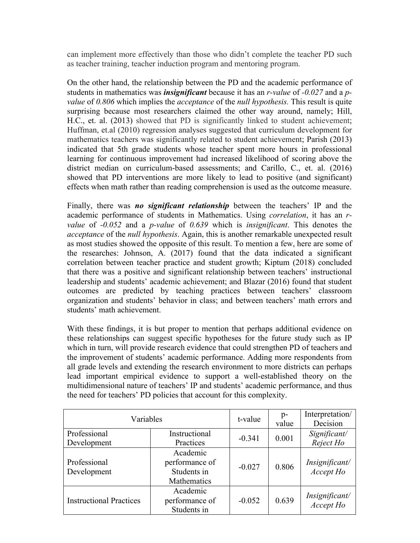can implement more effectively than those who didn't complete the teacher PD such as teacher training, teacher induction program and mentoring program.

On the other hand, the relationship between the PD and the academic performance of students in mathematics was *insignificant* because it has an *r-value* of *-0.027* and a *pvalue* of *0.806* which implies the *acceptance* of the *null hypothesis.* This result is quite surprising because most researchers claimed the other way around, namely; Hill, H.C., et. al. (2013) showed that PD is significantly linked to student achievement; Huffman, et.al (2010) regression analyses suggested that curriculum development for mathematics teachers was significantly related to student achievement; Parish (2013) indicated that 5th grade students whose teacher spent more hours in professional learning for continuous improvement had increased likelihood of scoring above the district median on curriculum-based assessments; and Carillo, C., et. al. (2016) showed that PD interventions are more likely to lead to positive (and significant) effects when math rather than reading comprehension is used as the outcome measure.

Finally, there was *no significant relationship* between the teachers' IP and the academic performance of students in Mathematics. Using *correlation*, it has an *rvalue* of *-0.052* and a *p-value* of *0.639* which is *insignificant*. This denotes the *acceptance* of the *null hypothesis*. Again, this is another remarkable unexpected result as most studies showed the opposite of this result. To mention a few, here are some of the researches: Johnson, A. (2017) found that the data indicated a significant correlation between teacher practice and student growth; Kiptum (2018) concluded that there was a positive and significant relationship between teachers' instructional leadership and students' academic achievement; and Blazar (2016) found that student outcomes are predicted by teaching practices between teachers' classroom organization and students' behavior in class; and between teachers' math errors and students' math achievement.

With these findings, it is but proper to mention that perhaps additional evidence on these relationships can suggest specific hypotheses for the future study such as IP which in turn, will provide research evidence that could strengthen PD of teachers and the improvement of students' academic performance. Adding more respondents from all grade levels and extending the research environment to more districts can perhaps lead important empirical evidence to support a well-established theory on the multidimensional nature of teachers' IP and students' academic performance, and thus the need for teachers' PD policies that account for this complexity.

| Variables                      |                                                          | t-value  | p-<br>value | Interpretation/<br>Decision |
|--------------------------------|----------------------------------------------------------|----------|-------------|-----------------------------|
| Professional<br>Development    | Instructional<br>Practices                               | $-0.341$ | 0.001       | Significant/<br>Reject Ho   |
| Professional<br>Development    | Academic<br>performance of<br>Students in<br>Mathematics | $-0.027$ | 0.806       | Insignificant/<br>Accept Ho |
| <b>Instructional Practices</b> | Academic<br>performance of<br>Students in                | $-0.052$ | 0.639       | Insignificant/<br>Accept Ho |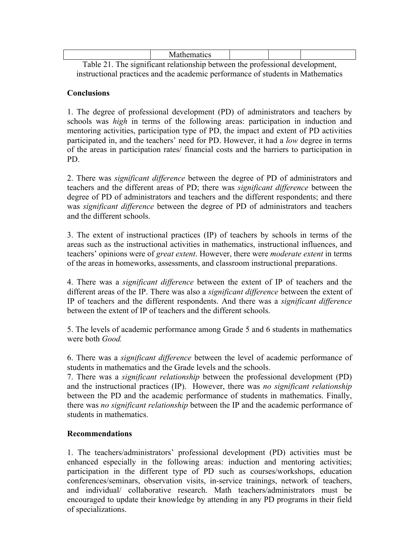| . | 'l'ha e es e saill e eustrale face els serbes estes en estadounidense en el deces le seu en serb |  |  |
|---|--------------------------------------------------------------------------------------------------|--|--|

Table 21. The significant relationship between the professional development, instructional practices and the academic performance of students in Mathematics

#### **Conclusions**

1. The degree of professional development (PD) of administrators and teachers by schools was *high* in terms of the following areas: participation in induction and mentoring activities, participation type of PD, the impact and extent of PD activities participated in, and the teachers' need for PD. However, it had a *low* degree in terms of the areas in participation rates/ financial costs and the barriers to participation in PD.

2. There was *significant difference* between the degree of PD of administrators and teachers and the different areas of PD; there was *significant difference* between the degree of PD of administrators and teachers and the different respondents; and there was *significant difference* between the degree of PD of administrators and teachers and the different schools.

3. The extent of instructional practices (IP) of teachers by schools in terms of the areas such as the instructional activities in mathematics, instructional influences, and teachers' opinions were of *great extent*. However, there were *moderate extent* in terms of the areas in homeworks, assessments, and classroom instructional preparations.

4. There was a *significant difference* between the extent of IP of teachers and the different areas of the IP. There was also a *significant difference* between the extent of IP of teachers and the different respondents. And there was a *significant difference* between the extent of IP of teachers and the different schools.

5. The levels of academic performance among Grade 5 and 6 students in mathematics were both *Good.*

6. There was a *significant difference* between the level of academic performance of students in mathematics and the Grade levels and the schools.

7. There was a *significant relationship* between the professional development (PD) and the instructional practices (IP). However, there was *no significant relationship* between the PD and the academic performance of students in mathematics. Finally, there was *no significant relationship* between the IP and the academic performance of students in mathematics.

#### **Recommendations**

1. The teachers/administrators' professional development (PD) activities must be enhanced especially in the following areas: induction and mentoring activities; participation in the different type of PD such as courses/workshops, education conferences/seminars, observation visits, in-service trainings, network of teachers, and individual/ collaborative research. Math teachers/administrators must be encouraged to update their knowledge by attending in any PD programs in their field of specializations.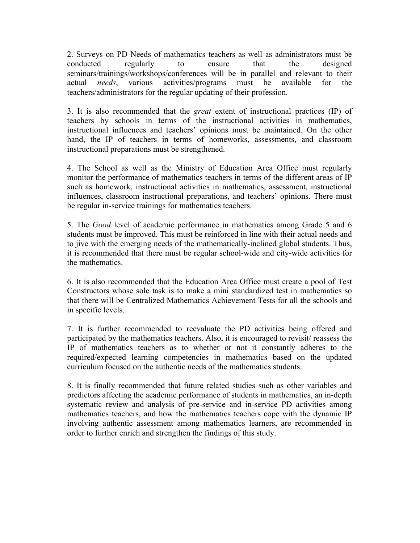2. Surveys on PD Needs of mathematics teachers as well as administrators must be conducted regularly to ensure that the designed seminars/trainings/workshops/conferences will be in parallel and relevant to their actual *needs*, various activities/programs must be available for the teachers/administrators for the regular updating of their profession.

3. It is also recommended that the *great* extent of instructional practices (IP) of teachers by schools in terms of the instructional activities in mathematics, instructional influences and teachers' opinions must be maintained. On the other hand, the IP of teachers in terms of homeworks, assessments, and classroom instructional preparations must be strengthened.

4. The School as well as the Ministry of Education Area Office must regularly monitor the performance of mathematics teachers in terms of the different areas of IP such as homework, instructional activities in mathematics, assessment, instructional influences, classroom instructional preparations, and teachers' opinions. There must be regular in-service trainings for mathematics teachers.

5. The *Good* level of academic performance in mathematics among Grade 5 and 6 students must be improved. This must be reinforced in line with their actual needs and to jive with the emerging needs of the mathematically-inclined global students. Thus, it is recommended that there must be regular school-wide and city-wide activities for the mathematics.

6. It is also recommended that the Education Area Office must create a pool of Test Constructors whose sole task is to make a mini standardized test in mathematics so that there will be Centralized Mathematics Achievement Tests for all the schools and in specific levels.

7. It is further recommended to reevaluate the PD activities being offered and participated by the mathematics teachers. Also, it is encouraged to revisit/ reassess the IP of mathematics teachers as to whether or not it constantly adheres to the required/expected learning competencies in mathematics based on the updated curriculum focused on the authentic needs of the mathematics students.

8. It is finally recommended that future related studies such as other variables and predictors affecting the academic performance of students in mathematics, an in-depth systematic review and analysis of pre-service and in-service PD activities among mathematics teachers, and how the mathematics teachers cope with the dynamic IP involving authentic assessment among mathematics learners, are recommended in order to further enrich and strengthen the findings of this study.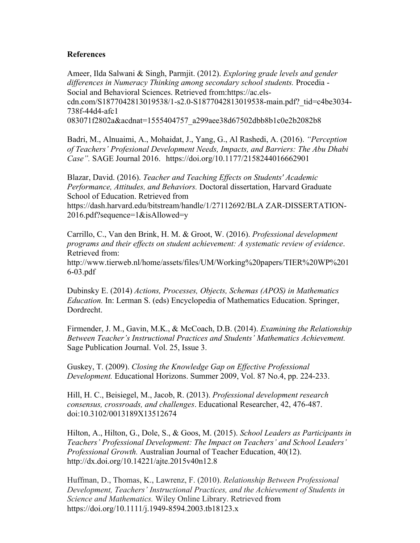#### **References**

Ameer, Ilda Salwani & Singh, Parmjit. (2012). *Exploring grade levels and gender differences in Numeracy Thinking among secondary school students.* Procedia - Social and Behavioral Sciences. Retrieved from:https://ac.elscdn.com/S1877042813019538/1-s2.0-S1877042813019538-main.pdf?\_tid=c4be3034- 738f-44d4-afc1 083071f2802a&acdnat=1555404757\_a299aee38d67502dbb8b1c0e2b2082b8

Badri, M., Alnuaimi, A., Mohaidat, J., Yang, G., Al Rashedi, A. (2016). *"Perception of Teachers' Profesional Development Needs, Impacts, and Barriers: The Abu Dhabi Case".* SAGE Journal 2016. https://doi.org/10.1177/2158244016662901

Blazar, David. (2016). *Teacher and Teaching Effects on Students' Academic Performance, Attitudes, and Behaviors.* Doctoral dissertation, Harvard Graduate School of Education. Retrieved from https://dash.harvard.edu/bitstream/handle/1/27112692/BLA ZAR-DISSERTATION-2016.pdf?sequence=1&isAllowed=y

Carrillo, C., Van den Brink, H. M. & Groot, W. (2016). *Professional development programs and their effects on student achievement: A systematic review of evidence*. Retrieved from:

http://www.tierweb.nl/home/assets/files/UM/Working%20papers/TIER%20WP%201 6-03.pdf

Dubinsky E. (2014) *Actions, Processes, Objects, Schemas (APOS) in Mathematics Education.* In: Lerman S. (eds) Encyclopedia of Mathematics Education. Springer, Dordrecht.

Firmender, J. M., Gavin, M.K., & McCoach, D.B. (2014). *Examining the Relationship Between Teacher's Instructional Practices and Students' Mathematics Achievement.* Sage Publication Journal. Vol. 25, Issue 3.

Guskey, T. (2009). *Closing the Knowledge Gap on Effective Professional Development.* Educational Horizons. Summer 2009, Vol. 87 No.4, pp. 224-233.

Hill, H. C., Beisiegel, M., Jacob, R. (2013). *Professional development research consensus, crossroads, and challenges*. Educational Researcher, 42, 476-487. doi:10.3102/0013189X13512674

Hilton, A., Hilton, G., Dole, S., & Goos, M. (2015). *School Leaders as Participants in Teachers' Professional Development: The Impact on Teachers' and School Leaders' Professional Growth.* Australian Journal of Teacher Education, 40(12). http://dx.doi.org/10.14221/ajte.2015v40n12.8

Huffman, D., Thomas, K., Lawrenz, F. (2010). *Relationship Between Professional Development, Teachers' Instructional Practices, and the Achievement of Students in Science and Mathematics.* Wiley Online Library. Retrieved from https://doi.org/10.1111/j.1949-8594.2003.tb18123.x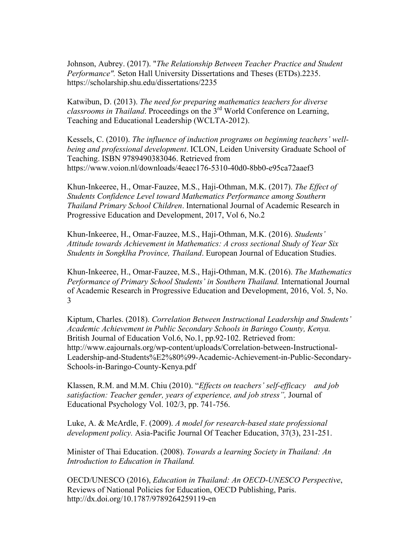Johnson, Aubrey. (2017). "*The Relationship Between Teacher Practice and Student Performance".* Seton Hall University Dissertations and Theses (ETDs).2235. https://scholarship.shu.edu/dissertations/2235

Katwibun, D. (2013). *The need for preparing mathematics teachers for diverse classrooms in Thailand*. Proceedings on the 3rd World Conference on Learning, Teaching and Educational Leadership (WCLTA-2012).

Kessels, C. (2010). *The influence of induction programs on beginning teachers' wellbeing and professional development*. ICLON, Leiden University Graduate School of Teaching. ISBN 9789490383046. Retrieved from https://www.voion.nl/downloads/4eaec176-5310-40d0-8bb0-e95ca72aaef3

Khun-Inkeeree, H., Omar-Fauzee, M.S., Haji-Othman, M.K. (2017). *The Effect of Students Confidence Level toward Mathematics Performance among Southern Thailand Primary School Children*. International Journal of Academic Research in Progressive Education and Development, 2017, Vol 6, No.2

Khun-Inkeeree, H., Omar-Fauzee, M.S., Haji-Othman, M.K. (2016). *Students' Attitude towards Achievement in Mathematics: A cross sectional Study of Year Six Students in Songklha Province, Thailand*. European Journal of Education Studies.

Khun-Inkeeree, H., Omar-Fauzee, M.S., Haji-Othman, M.K. (2016). *The Mathematics Performance of Primary School Students' in Southern Thailand.* International Journal of Academic Research in Progressive Education and Development, 2016, Vol. 5, No. 3

Kiptum, Charles. (2018). *Correlation Between Instructional Leadership and Students' Academic Achievement in Public Secondary Schools in Baringo County, Kenya.*  British Journal of Education Vol.6, No.1, pp.92-102. Retrieved from: http://www.eajournals.org/wp-content/uploads/Correlation-between-Instructional-Leadership-and-Students%E2%80%99-Academic-Achievement-in-Public-Secondary-Schools-in-Baringo-County-Kenya.pdf

Klassen, R.M. and M.M. Chiu (2010). "*Effects on teachers' self-efficacy and job satisfaction: Teacher gender, years of experience, and job stress",* Journal of Educational Psychology Vol. 102/3, pp. 741-756.

Luke, A. & McArdle, F. (2009). *A model for research-based state professional development policy.* Asia-Pacific Journal Of Teacher Education, 37(3), 231-251.

Minister of Thai Education. (2008). *Towards a learning Society in Thailand: An Introduction to Education in Thailand.*

OECD/UNESCO (2016), *Education in Thailand: An OECD-UNESCO Perspective*, Reviews of National Policies for Education, OECD Publishing, Paris. http://dx.doi.org/10.1787/9789264259119-en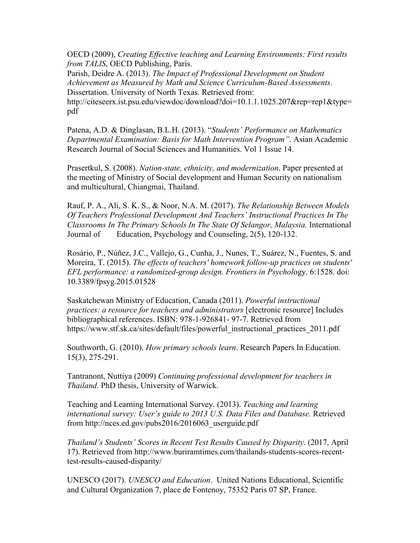OECD (2009), *Creating Effective teaching and Learning Environments: First results from TALIS*, OECD Publishing, Paris.

Parish, Deidre A. (2013). *The Impact of Professional Development on Student Achievement as Measured by Math and Science Curriculum-Based Assessments*. Dissertation. University of North Texas. Retrieved from:

http://citeseerx.ist.psu.edu/viewdoc/download?doi=10.1.1.1025.207&rep=rep1&type= pdf

Patena, A.D. & Dinglasan, B.L.H. (2013). "*Students' Performance on Mathematics Departmental Examination: Basis for Math Intervention Program"*. Asian Academic Research Journal of Social Sciences and Humanities. Vol 1 Issue 14.

Prasertkul, S. (2008). *Nation-state, ethnicity, and modernization*. Paper presented at the meeting of Ministry of Social development and Human Security on nationalism and multicultural, Chiangmai, Thailand.

Rauf, P. A., Ali, S. K. S., & Noor, N.A. M. (2017). *The Relationship Between Models Of Teachers Professional Development And Teachers' Instructional Practices In The Classrooms In The Primary Schools In The State Of Selangor, Malaysia.* International Journal of Education, Psychology and Counseling, 2(5), 120-132.

Rosário, P., Núñez, J.C., Vallejo, G., Cunha, J., Nunes, T., Suárez, N., Fuentes, S. and Moreira, T. (2015). *The effects of teachers' homework follow-up practices on students' EFL performance: a randomized-group design. Frontiers in Psychol*ogy. 6:1528. doi: 10.3389/fpsyg.2015.01528

Saskatchewan Ministry of Education, Canada (2011). *Powerful instructional practices: a resource for teachers and administrators* [electronic resource] Includes bibliographical references. ISBN: 978-1-926841- 97-7. Retrieved from https://www.stf.sk.ca/sites/default/files/powerful\_instructional\_practices\_2011.pdf

Southworth, G. (2010). *How primary schools learn*. Research Papers In Education. 15(3), 275-291.

Tantranont, Nuttiya (2009) *Continuing professional development for teachers in Thailand.* PhD thesis, University of Warwick.

Teaching and Learning International Survey. (2013). *Teaching and learning international survey: User's guide to 2013 U.S. Data Files and Database.* Retrieved from http://nces.ed.gov/pubs2016/2016063\_userguide.pdf

*Thailand's Students' Scores in Recent Test Results Caused by Disparity*. (2017, April 17). Retrieved from http://www.buriramtimes.com/thailands-students-scores-recenttest-results-caused-disparity/

UNESCO (2017). *UNESCO and Education*. United Nations Educational, Scientific and Cultural Organization 7, place de Fontenoy, 75352 Paris 07 SP, France.